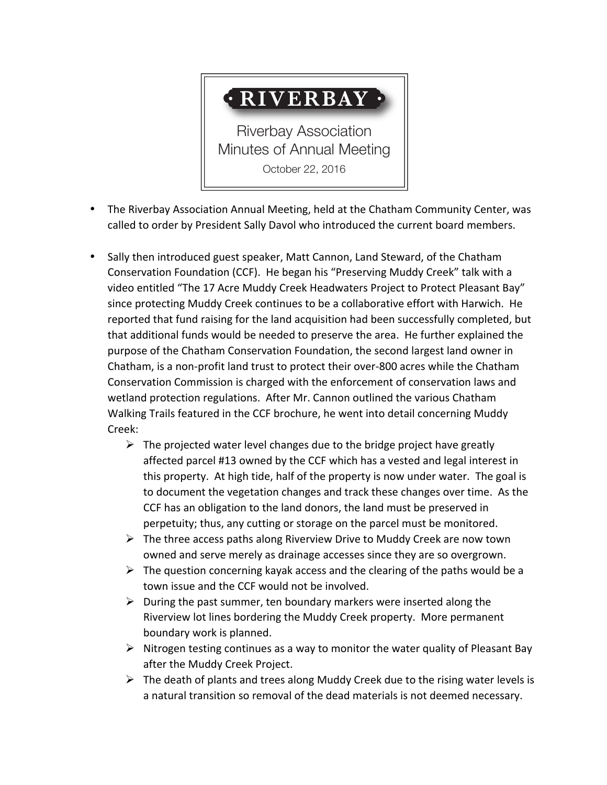## **• RIVERBAY •**

Riverbay Association Minutes of Annual Meeting October 22, 2016

- The Riverbay Association Annual Meeting, held at the Chatham Community Center, was called to order by President Sally Davol who introduced the current board members.
- Sally then introduced guest speaker, Matt Cannon, Land Steward, of the Chatham Conservation Foundation (CCF). He began his "Preserving Muddy Creek" talk with a video entitled "The 17 Acre Muddy Creek Headwaters Project to Protect Pleasant Bay" since protecting Muddy Creek continues to be a collaborative effort with Harwich. He reported that fund raising for the land acquisition had been successfully completed, but that additional funds would be needed to preserve the area. He further explained the purpose of the Chatham Conservation Foundation, the second largest land owner in Chatham, is a non-profit land trust to protect their over-800 acres while the Chatham Conservation Commission is charged with the enforcement of conservation laws and wetland protection regulations. After Mr. Cannon outlined the various Chatham Walking Trails featured in the CCF brochure, he went into detail concerning Muddy Creek:
	- $\triangleright$  The projected water level changes due to the bridge project have greatly affected parcel #13 owned by the CCF which has a vested and legal interest in this property. At high tide, half of the property is now under water. The goal is to document the vegetation changes and track these changes over time. As the CCF has an obligation to the land donors, the land must be preserved in perpetuity; thus, any cutting or storage on the parcel must be monitored.
	- $\triangleright$  The three access paths along Riverview Drive to Muddy Creek are now town owned and serve merely as drainage accesses since they are so overgrown.
	- $\triangleright$  The question concerning kayak access and the clearing of the paths would be a town issue and the CCF would not be involved.
	- $\triangleright$  During the past summer, ten boundary markers were inserted along the Riverview lot lines bordering the Muddy Creek property. More permanent boundary work is planned.
	- $\triangleright$  Nitrogen testing continues as a way to monitor the water quality of Pleasant Bay after the Muddy Creek Project.
	- $\triangleright$  The death of plants and trees along Muddy Creek due to the rising water levels is a natural transition so removal of the dead materials is not deemed necessary.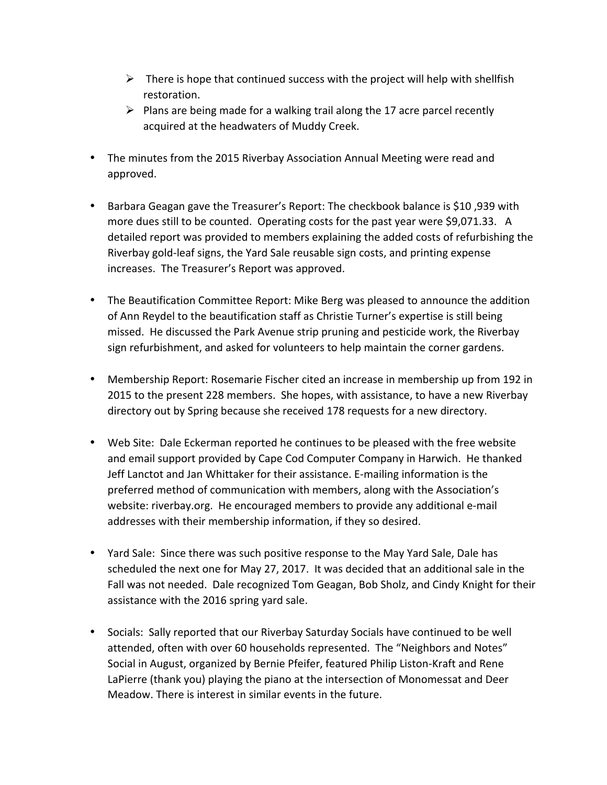- $\triangleright$  There is hope that continued success with the project will help with shellfish restoration.
- $\triangleright$  Plans are being made for a walking trail along the 17 acre parcel recently acquired at the headwaters of Muddy Creek.
- The minutes from the 2015 Riverbay Association Annual Meeting were read and approved.
- Barbara Geagan gave the Treasurer's Report: The checkbook balance is \$10,939 with more dues still to be counted. Operating costs for the past year were \$9,071.33. A detailed report was provided to members explaining the added costs of refurbishing the Riverbay gold-leaf signs, the Yard Sale reusable sign costs, and printing expense increases. The Treasurer's Report was approved.
- The Beautification Committee Report: Mike Berg was pleased to announce the addition of Ann Reydel to the beautification staff as Christie Turner's expertise is still being missed. He discussed the Park Avenue strip pruning and pesticide work, the Riverbay sign refurbishment, and asked for volunteers to help maintain the corner gardens.
- Membership Report: Rosemarie Fischer cited an increase in membership up from 192 in 2015 to the present 228 members. She hopes, with assistance, to have a new Riverbay directory out by Spring because she received 178 requests for a new directory.
- Web Site: Dale Eckerman reported he continues to be pleased with the free website and email support provided by Cape Cod Computer Company in Harwich. He thanked Jeff Lanctot and Jan Whittaker for their assistance. E-mailing information is the preferred method of communication with members, along with the Association's website: riverbay.org. He encouraged members to provide any additional e-mail addresses with their membership information, if they so desired.
- Yard Sale: Since there was such positive response to the May Yard Sale, Dale has scheduled the next one for May 27, 2017. It was decided that an additional sale in the Fall was not needed. Dale recognized Tom Geagan, Bob Sholz, and Cindy Knight for their assistance with the 2016 spring yard sale.
- Socials: Sally reported that our Riverbay Saturday Socials have continued to be well attended, often with over 60 households represented. The "Neighbors and Notes" Social in August, organized by Bernie Pfeifer, featured Philip Liston-Kraft and Rene LaPierre (thank you) playing the piano at the intersection of Monomessat and Deer Meadow. There is interest in similar events in the future.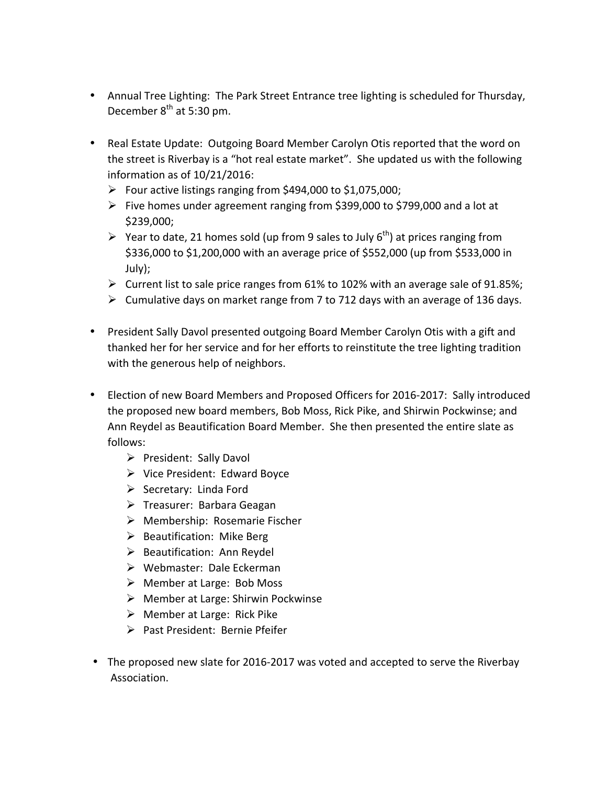- Annual Tree Lighting: The Park Street Entrance tree lighting is scheduled for Thursday, December 8<sup>th</sup> at 5:30 pm.
- Real Estate Update: Outgoing Board Member Carolyn Otis reported that the word on the street is Riverbay is a "hot real estate market". She updated us with the following information as of  $10/21/2016$ :
	- $\triangleright$  Four active listings ranging from \$494,000 to \$1,075,000;
	- $\triangleright$  Five homes under agreement ranging from \$399,000 to \$799,000 and a lot at \$239,000;
	- $\triangleright$  Year to date, 21 homes sold (up from 9 sales to July 6<sup>th</sup>) at prices ranging from \$336,000 to \$1,200,000 with an average price of \$552,000 (up from \$533,000 in July);
	- $\triangleright$  Current list to sale price ranges from 61% to 102% with an average sale of 91.85%;
	- $\triangleright$  Cumulative days on market range from 7 to 712 days with an average of 136 days.
- President Sally Davol presented outgoing Board Member Carolyn Otis with a gift and thanked her for her service and for her efforts to reinstitute the tree lighting tradition with the generous help of neighbors.
- Election of new Board Members and Proposed Officers for 2016-2017: Sally introduced the proposed new board members, Bob Moss, Rick Pike, and Shirwin Pockwinse; and Ann Reydel as Beautification Board Member. She then presented the entire slate as follows:
	- $\triangleright$  President: Sally Davol
	- $\triangleright$  Vice President: Edward Boyce
	- $\triangleright$  Secretary: Linda Ford
	- $\triangleright$  Treasurer: Barbara Geagan
	- $\triangleright$  Membership: Rosemarie Fischer
	- $\triangleright$  Beautification: Mike Berg
	- $\triangleright$  Beautification: Ann Reydel
	- $\triangleright$  Webmaster: Dale Eckerman
	- $\triangleright$  Member at Large: Bob Moss
	- $\triangleright$  Member at Large: Shirwin Pockwinse
	- $\triangleright$  Member at Large: Rick Pike
	- $\triangleright$  Past President: Bernie Pfeifer
- The proposed new slate for 2016-2017 was voted and accepted to serve the Riverbay Association.